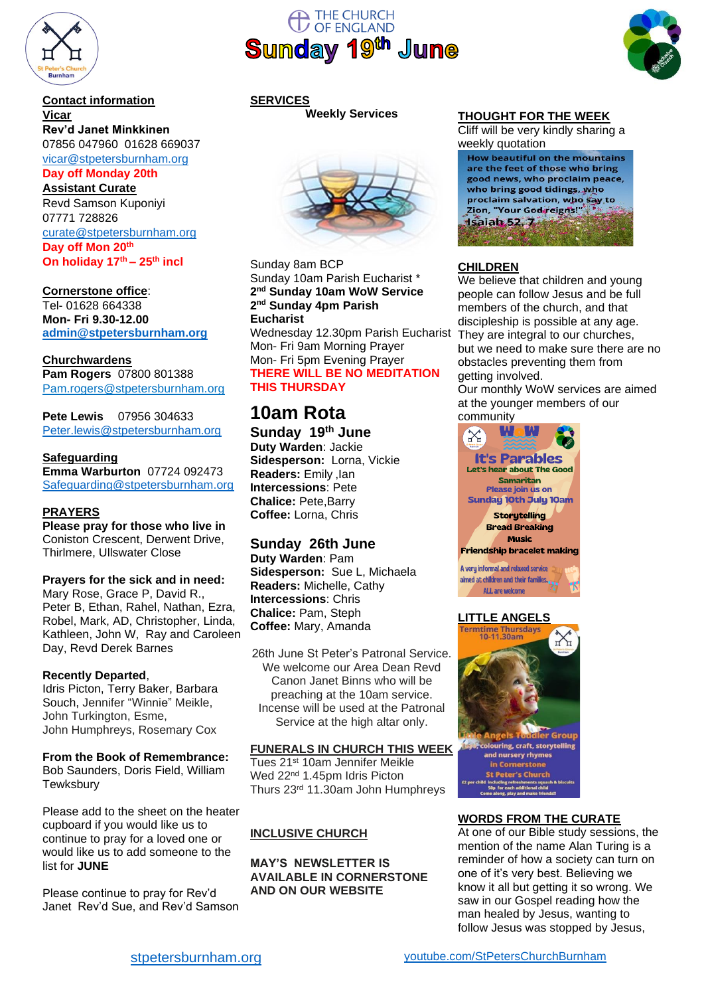

#### **Contact information Vicar**

# **Rev'd Janet Minkkinen**

07856 047960 01628 669037 [vicar@stpetersburnham.org](mailto:vicar@stpetersburnham.org)

#### **Day off Monday 20th**

**Assistant Curate** Revd Samson Kuponiyi 07771 728826 [curate@stpetersburnham.org](mailto:curate@stpetersburnham.org) **Day off Mon 20th On holiday 17th – 25th incl**

# **Cornerstone office**:

Tel- 01628 664338 **Mon- Fri 9.30-12.00 [admin@stpetersburnham.org](mailto:admin@stpetersburnham.org)**

#### **Churchwardens**

**Pam Rogers** 07800 801388 Pam.rogers@stpetersburnham.org

**Pete Lewis** 07956 304633 [Peter.lewis@stpetersburnham.org](mailto:Peter.lewis@stpetersburnham.org)

#### **Safeguarding**

**Emma Warburton** 07724 092473 [Safeguarding@stpetersburnham.org](file:///C:/Users/stpet/AppData/Local/Microsoft/Windows/INetCache/Content.Outlook/89YQUDFX/Safeguarding@stpetersburnham.org)

#### **PRAYERS**

**Please pray for those who live in** Coniston Crescent, Derwent Drive, Thirlmere, Ullswater Close

#### **Prayers for the sick and in need:**

Mary Rose, Grace P, David R., Peter B, Ethan, Rahel, Nathan, Ezra, Robel, Mark, AD, Christopher, Linda, Kathleen, John W, Ray and Caroleen Day, Revd Derek Barnes

#### **Recently Departed**,

Idris Picton, Terry Baker, Barbara Souch, Jennifer "Winnie" Meikle, John Turkington, Esme, John Humphreys, Rosemary Cox

**From the Book of Remembrance:** Bob Saunders, Doris Field, William **Tewksbury** 

Please add to the sheet on the heater cupboard if you would like us to continue to pray for a loved one or would like us to add someone to the list for **JUNE**

Please continue to pray for Rev'd Janet Rev'd Sue, and Rev'd Samson





# **SERVICES**

**Weekly Services**



Sunday 8am BCP Sunday 10am Parish Eucharist \* **2 nd Sunday 10am WoW Service 2 nd Sunday 4pm Parish Eucharist** Wednesday 12.30pm Parish Eucharist Mon- Fri 9am Morning Prayer Mon- Fri 5pm Evening Prayer **THERE WILL BE NO MEDITATION THIS THURSDAY**

# **10am Rota**

**Sunday 19th June Duty Warden**: Jackie **Sidesperson:** Lorna, Vickie **Readers:** Emily ,Ian **Intercessions**: Pete **Chalice:** Pete,Barry **Coffee:** Lorna, Chris

# **Sunday 26th June**

**Duty Warden**: Pam **Sidesperson:** Sue L, Michaela **Readers:** Michelle, Cathy **Intercessions**: Chris **Chalice:** Pam, Steph **Coffee:** Mary, Amanda

26th June St Peter's Patronal Service. We welcome our Area Dean Revd Canon Janet Binns who will be preaching at the 10am service. Incense will be used at the Patronal Service at the high altar only.

#### **FUNERALS IN CHURCH THIS WEEK**

Tues 21st 10am Jennifer Meikle Wed 22nd 1.45pm Idris Picton Thurs 23rd 11.30am John Humphreys

# **INCLUSIVE CHURCH**

**MAY'S NEWSLETTER IS AVAILABLE IN CORNERSTONE AND ON OUR WEBSITE**

#### **THOUGHT FOR THE WEEK**

Cliff will be very kindly sharing a weekly quotation

**How beautiful on the mountains** are the feet of those who bring good news, who proclaim peace, who bring good tidings, who proclaim salvation, who say to Zion, "Your God reigns!" Isaiah 52.7

#### **CHILDREN**

We believe that children and young people can follow Jesus and be full members of the church, and that discipleship is possible at any age. They are integral to our churches, but we need to make sure there are no obstacles preventing them from getting involved.

Our monthly WoW services are aimed at the younger members of our community



#### **LITTLE ANGELS**



#### **WORDS FROM THE CURATE**

At one of our Bible study sessions, the mention of the name Alan Turing is a reminder of how a society can turn on one of it's very best. Believing we know it all but getting it so wrong. We saw in our Gospel reading how the man healed by Jesus, wanting to follow Jesus was stopped by Jesus,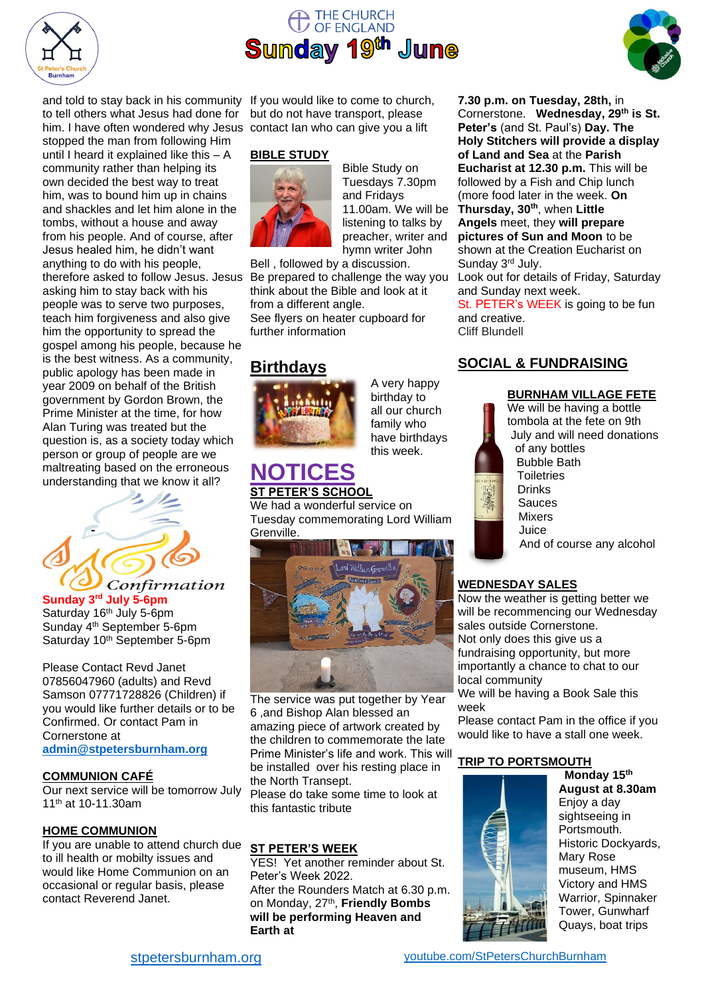

# THE CHURCH<br>OF ENGLAND **Sunday 19th June**



and told to stay back in his community If you would like to come to church, to tell others what Jesus had done for him. I have often wondered why Jesus contact Ian who can give you a lift

stopped the man from following Him until I heard it explained like this – A community rather than helping its own decided the best way to treat him, was to bound him up in chains and shackles and let him alone in the tombs, without a house and away from his people. And of course, after Jesus healed him, he didn't want anything to do with his people, therefore asked to follow Jesus. Jesus asking him to stay back with his people was to serve two purposes, teach him forgiveness and also give him the opportunity to spread the gospel among his people, because he is the best witness. As a community, public apology has been made in year 2009 on behalf of the British government by Gordon Brown, the Prime Minister at the time, for how Alan Turing was treated but the question is, as a society today which person or group of people are we maltreating based on the erroneous understanding that we know it all?



**Sunday 3 rd July 5-6pm** Saturday 16<sup>th</sup> July 5-6pm Sunday 4th September 5-6pm Saturday 10<sup>th</sup> September 5-6pm

Please Contact Revd Janet 07856047960 (adults) and Revd Samson 07771728826 (Children) if you would like further details or to be Confirmed. Or contact Pam in Cornerstone at **[admin@stpetersburnham.org](mailto:admin@stpetersburnham.org)**

#### **COMMUNION CAFÉ**

Our next service will be tomorrow July 11th at 10-11.30am

#### **HOME COMMUNION**

If you are unable to attend church due to ill health or mobilty issues and would like Home Communion on an occasional or regular basis, please contact Reverend Janet.

but do not have transport, please

#### **BIBLE STUDY**



Bible Study on Tuesdays 7.30pm and Fridays 11.00am. We will be listening to talks by preacher, writer and hymn writer John

Bell , followed by a discussion. Be prepared to challenge the way you think about the Bible and look at it from a different angle.

See flyers on heater cupboard for further information

# **Birthdays**



A very happy birthday to all our church family who have birthdays this week.

**Peter's** (and St. Paul's) **Day. The Holy Stitchers will provide a display of Land and Sea** at the **Parish Eucharist at 12.30 p.m.** This will be followed by a Fish and Chip lunch (more food later in the week. **On Thursday, 30th**, when **Little Angels** meet, they **will prepare pictures of Sun and Moon** to be shown at the Creation Eucharist on Sunday 3rd July. Look out for details of Friday, Saturday and Sunday next week.

**7.30 p.m. on Tuesday, 28th,** in Cornerstone. **Wednesday, 29th is St.** 

St. PETER's WEEK is going to be fun and creative. Cliff Blundell

# **SOCIAL & FUNDRAISING**





We will be having a bottle tombola at the fete on 9th July and will need donations of any bottles Bubble Bath **Toiletries** Drinks Sauces Mixers Juice And of course any alcohol

# **WEDNESDAY SALES**

Now the weather is getting better we will be recommencing our Wednesday sales outside Cornerstone. Not only does this give us a fundraising opportunity, but more importantly a chance to chat to our local community

We will be having a Book Sale this week

Please contact Pam in the office if you would like to have a stall one week.

#### **TRIP TO PORTSMOUTH**



**Monday 15th August at 8.30am** Enjoy a day sightseeing in Portsmouth. Historic Dockyards, Mary Rose museum, HMS Victory and HMS Warrior, Spinnaker Tower, Gunwharf Quays, boat trips

**NOTICES**

**ST PETER'S SCHOOL**

We had a wonderful service on Tuesday commemorating Lord William Grenville.



The service was put together by Year 6 ,and Bishop Alan blessed an amazing piece of artwork created by the children to commemorate the late Prime Minister's life and work. This will be installed over his resting place in the North Transept. Please do take some time to look at this fantastic tribute

# **ST PETER'S WEEK**

YES! Yet another reminder about St. Peter's Week 2022. After the Rounders Match at 6.30 p.m. on Monday, 27th , **Friendly Bombs will be performing Heaven and Earth at**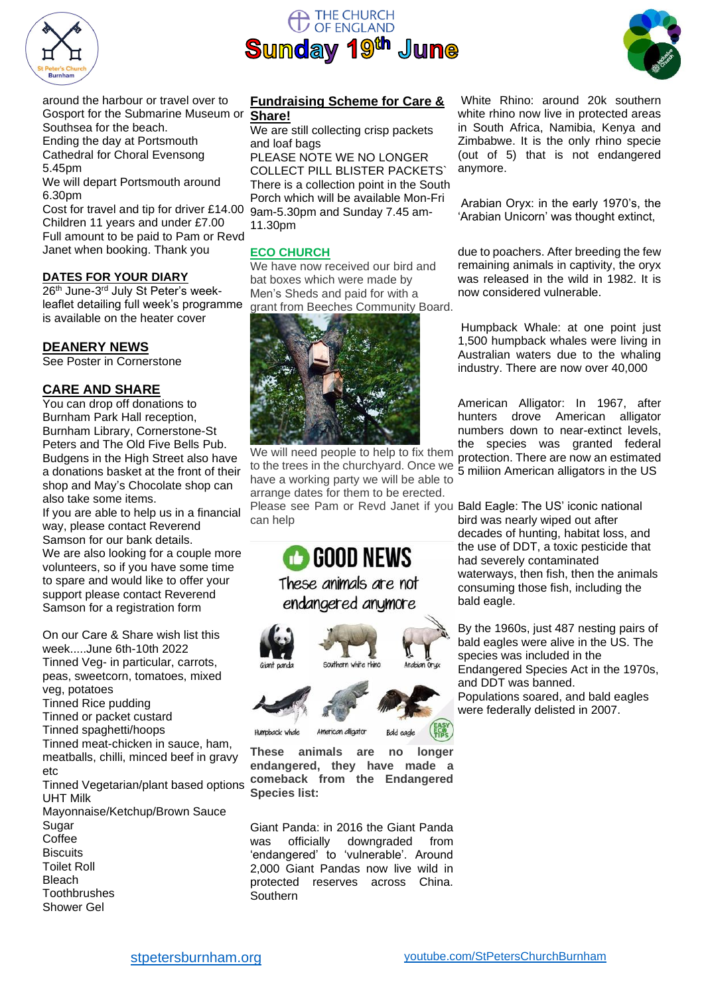

# THE CHURCH OF ENGLAND **Sunday 19th June**



around the harbour or travel over to Gosport for the Submarine Museum or Southsea for the beach.

Ending the day at Portsmouth Cathedral for Choral Evensong 5.45pm

We will depart Portsmouth around 6.30pm

Cost for travel and tip for driver £14.00 Children 11 years and under £7.00 Full amount to be paid to Pam or Revd Janet when booking. Thank you

#### **DATES FOR YOUR DIARY**

26<sup>th</sup> June-3<sup>rd</sup> July St Peter's weekleaflet detailing full week's programme is available on the heater cover

#### **DEANERY NEWS**

See Poster in Cornerstone

#### **CARE AND SHARE**

You can drop off donations to Burnham Park Hall reception, Burnham Library, Cornerstone-St Peters and The Old Five Bells Pub. Budgens in the High Street also have a donations basket at the front of their shop and May's Chocolate shop can also take some items.

If you are able to help us in a financial way, please contact Reverend Samson for our bank details. We are also looking for a couple more volunteers, so if you have some time to spare and would like to offer your support please contact Reverend Samson for a registration form

On our Care & Share wish list this week.....June 6th-10th 2022 Tinned Veg- in particular, carrots, peas, sweetcorn, tomatoes, mixed veg, potatoes Tinned Rice pudding Tinned or packet custard Tinned spaghetti/hoops Tinned meat-chicken in sauce, ham, meatballs, chilli, minced beef in gravy etc Tinned Vegetarian/plant based options UHT Milk

Mayonnaise/Ketchup/Brown Sauce **Sugar Coffee Biscuits** Toilet Roll Bleach **Toothbrushes** Shower Gel

#### **Fundraising Scheme for Care & Share!**

We are still collecting crisp packets and loaf bags

PLEASE NOTE WE NO LONGER COLLECT PILL BLISTER PACKETS` There is a collection point in the South Porch which will be available Mon-Fri 9am-5.30pm and Sunday 7.45 am-11.30pm

#### **ECO CHURCH**

We have now received our bird and bat boxes which were made by Men's Sheds and paid for with a grant from Beeches Community Board.



We will need people to help to fix them to the trees in the churchyard. Once we have a working party we will be able to arrange dates for them to be erected.

Please see Pam or Revd Janet if you Bald Eagle: The US' iconic national can help



**These animals are no longer endangered, they have made a comeback from the Endangered Species list:**

Giant Panda: in 2016 the Giant Panda was officially downgraded from 'endangered' to 'vulnerable'. Around 2,000 Giant Pandas now live wild in protected reserves across China. Southern

White Rhino: around 20k southern white rhino now live in protected areas in South Africa, Namibia, Kenya and Zimbabwe. It is the only rhino specie (out of 5) that is not endangered anymore.

Arabian Oryx: in the early 1970's, the 'Arabian Unicorn' was thought extinct,

due to poachers. After breeding the few remaining animals in captivity, the oryx was released in the wild in 1982. It is now considered vulnerable.

Humpback Whale: at one point just 1,500 humpback whales were living in Australian waters due to the whaling industry. There are now over 40,000

American Alligator: In 1967, after hunters drove American alligator numbers down to near-extinct levels, the species was granted federal protection. There are now an estimated 5 miliion American alligators in the US

bird was nearly wiped out after decades of hunting, habitat loss, and the use of DDT, a toxic pesticide that had severely contaminated waterways, then fish, then the animals consuming those fish, including the bald eagle.

By the 1960s, just 487 nesting pairs of bald eagles were alive in the US. The species was included in the Endangered Species Act in the 1970s, and DDT was banned. Populations soared, and bald eagles were federally delisted in 2007.